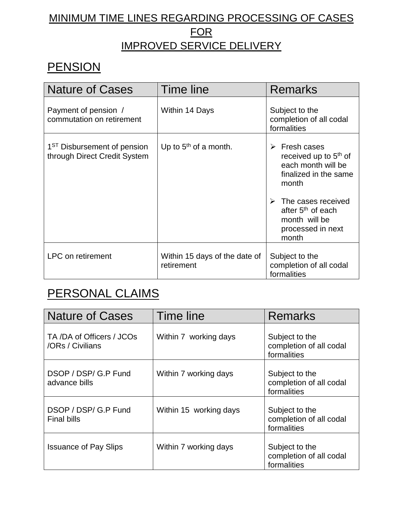#### MINIMUM TIME LINES REGARDING PROCESSING OF CASES FOR IMPROVED SERVICE DELIVERY

### **PENSION**

| <b>Nature of Cases</b>                                                  | Time line                                   | Remarks                                                                                                                                                                                                                  |
|-------------------------------------------------------------------------|---------------------------------------------|--------------------------------------------------------------------------------------------------------------------------------------------------------------------------------------------------------------------------|
| Payment of pension /<br>commutation on retirement                       | Within 14 Days                              | Subject to the<br>completion of all codal<br>formalities                                                                                                                                                                 |
| 1 <sup>ST</sup> Disbursement of pension<br>through Direct Credit System | Up to $5th$ of a month.                     | Fresh cases<br>➤<br>received up to 5 <sup>th</sup> of<br>each month will be<br>finalized in the same<br>month<br>The cases received<br>➤<br>after 5 <sup>th</sup> of each<br>month will be<br>processed in next<br>month |
| <b>LPC</b> on retirement                                                | Within 15 days of the date of<br>retirement | Subject to the<br>completion of all codal<br>formalities                                                                                                                                                                 |

### PERSONAL CLAIMS

| <b>Nature of Cases</b>                       | Time line              | <b>Remarks</b>                                           |
|----------------------------------------------|------------------------|----------------------------------------------------------|
| TA/DA of Officers / JCOs<br>/ORs / Civilians | Within 7 working days  | Subject to the<br>completion of all codal<br>formalities |
| DSOP / DSP/ G.P Fund<br>advance bills        | Within 7 working days  | Subject to the<br>completion of all codal<br>formalities |
| DSOP / DSP/ G.P Fund<br><b>Final bills</b>   | Within 15 working days | Subject to the<br>completion of all codal<br>formalities |
| <b>Issuance of Pay Slips</b>                 | Within 7 working days  | Subject to the<br>completion of all codal<br>formalities |